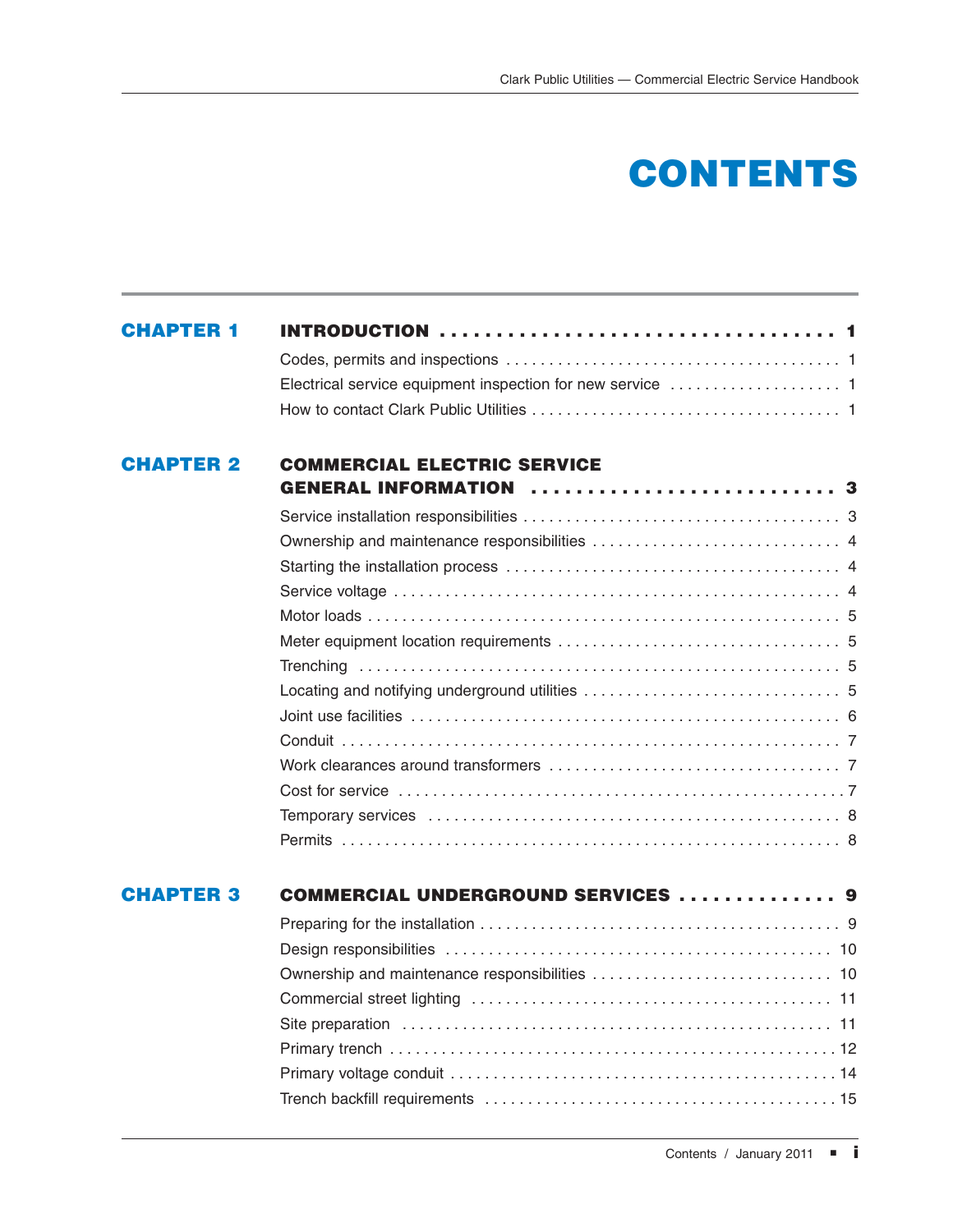## **CONTENTS**

## **CHAPTER 2 COMMERCIAL ELECTRIC SERVICE GENERAL INFORMATION . . . . . . . . . . . . . . . . . . . . . . . . . . . 3**

| <b>CHAPTER 3</b> | <b>COMMERCIAL UNDERGROUND SERVICES  9</b> |
|------------------|-------------------------------------------|
|                  |                                           |
|                  |                                           |
|                  |                                           |
|                  |                                           |
|                  |                                           |
|                  |                                           |
|                  |                                           |
|                  |                                           |